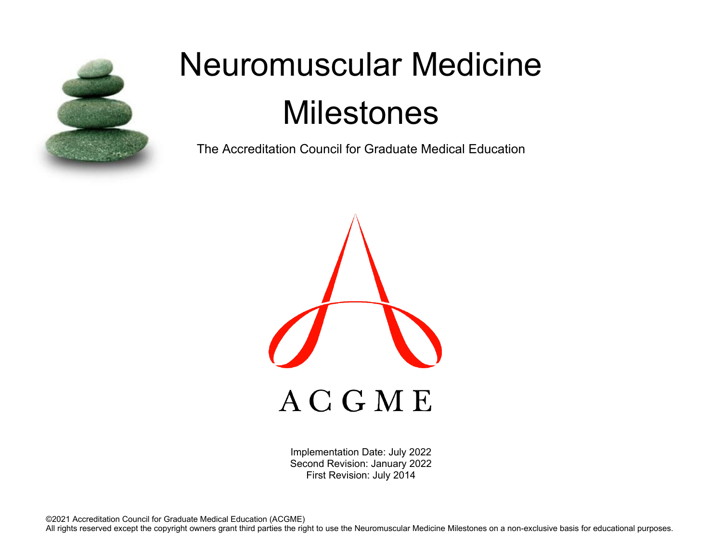

# Neuromuscular Medicine **Milestones**

The Accreditation Council for Graduate Medical Education



Implementation Date: July 2022 Second Revision: January 2022 First Revision: July 2014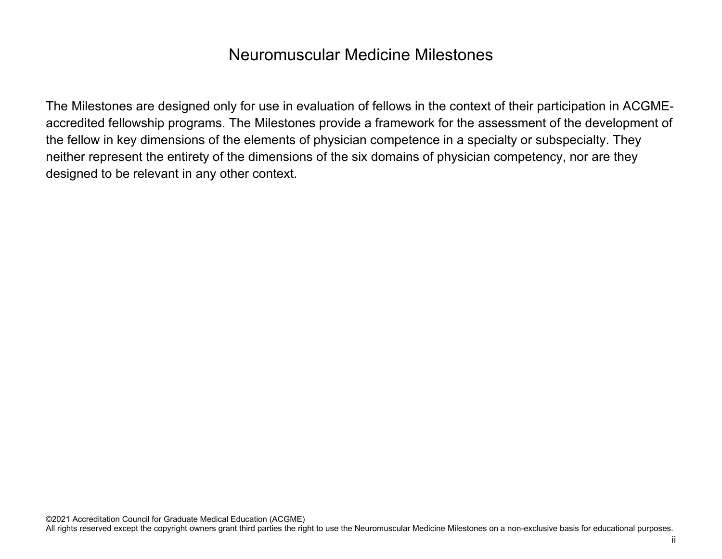## Neuromuscular Medicine Milestones

The Milestones are designed only for use in evaluation of fellows in the context of their participation in ACGMEaccredited fellowship programs. The Milestones provide a framework for the assessment of the development of the fellow in key dimensions of the elements of physician competence in a specialty or subspecialty. They neither represent the entirety of the dimensions of the six domains of physician competency, nor are they designed to be relevant in any other context.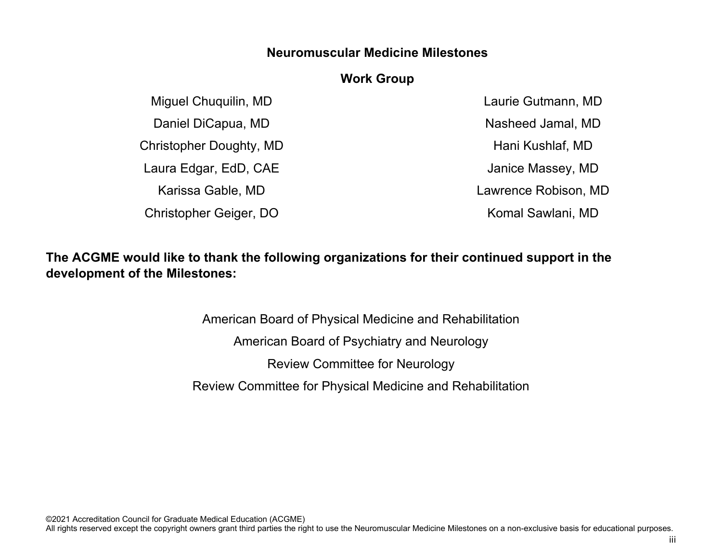#### **Neuromuscular Medicine Milestones**

#### **Work Group**

Miguel Chuquilin, MD Daniel DiCapua, MD Christopher Doughty, MD Laura Edgar, EdD, CAE Karissa Gable, MD Christopher Geiger, DO

Laurie Gutmann, MD Nasheed Jamal, MD Hani Kushlaf, MD Janice Massey, MD Lawrence Robison, MD Komal Sawlani, MD

### **The ACGME would like to thank the following organizations for their continued support in the development of the Milestones:**

American Board of Physical Medicine and Rehabilitation American Board of Psychiatry and Neurology Review Committee for Neurology Review Committee for Physical Medicine and Rehabilitation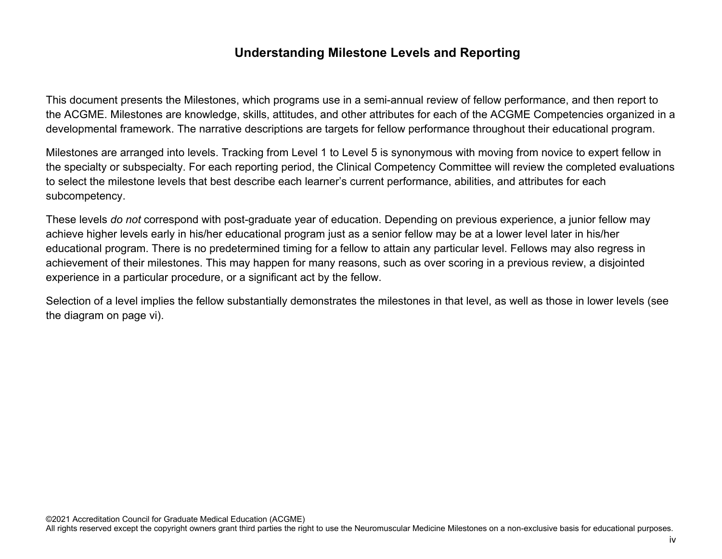#### **Understanding Milestone Levels and Reporting**

This document presents the Milestones, which programs use in a semi-annual review of fellow performance, and then report to the ACGME. Milestones are knowledge, skills, attitudes, and other attributes for each of the ACGME Competencies organized in a developmental framework. The narrative descriptions are targets for fellow performance throughout their educational program.

Milestones are arranged into levels. Tracking from Level 1 to Level 5 is synonymous with moving from novice to expert fellow in the specialty or subspecialty. For each reporting period, the Clinical Competency Committee will review the completed evaluations to select the milestone levels that best describe each learner's current performance, abilities, and attributes for each subcompetency.

These levels *do not* correspond with post-graduate year of education. Depending on previous experience, a junior fellow may achieve higher levels early in his/her educational program just as a senior fellow may be at a lower level later in his/her educational program. There is no predetermined timing for a fellow to attain any particular level. Fellows may also regress in achievement of their milestones. This may happen for many reasons, such as over scoring in a previous review, a disjointed experience in a particular procedure, or a significant act by the fellow.

Selection of a level implies the fellow substantially demonstrates the milestones in that level, as well as those in lower levels (see the diagram on page vi).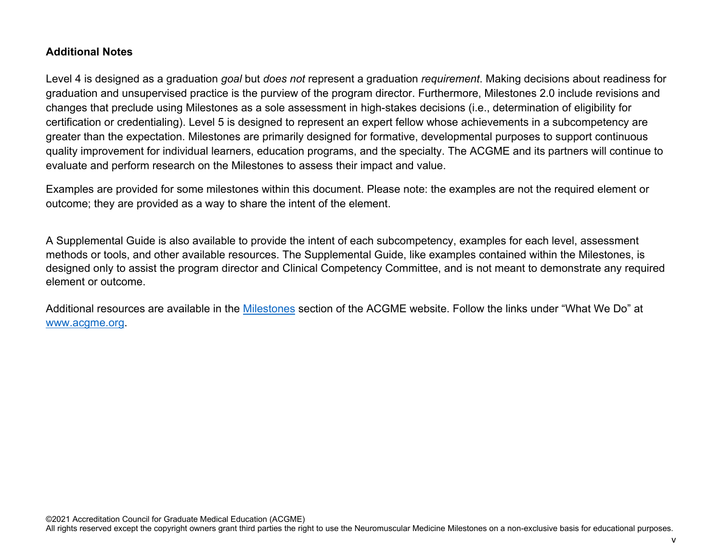#### **Additional Notes**

Level 4 is designed as a graduation *goal* but *does not* represent a graduation *requirement*. Making decisions about readiness for graduation and unsupervised practice is the purview of the program director. Furthermore, Milestones 2.0 include revisions and changes that preclude using Milestones as a sole assessment in high-stakes decisions (i.e., determination of eligibility for certification or credentialing). Level 5 is designed to represent an expert fellow whose achievements in a subcompetency are greater than the expectation. Milestones are primarily designed for formative, developmental purposes to support continuous quality improvement for individual learners, education programs, and the specialty. The ACGME and its partners will continue to evaluate and perform research on the Milestones to assess their impact and value.

Examples are provided for some milestones within this document. Please note: the examples are not the required element or outcome; they are provided as a way to share the intent of the element.

A Supplemental Guide is also available to provide the intent of each subcompetency, examples for each level, assessment methods or tools, and other available resources. The Supplemental Guide, like examples contained within the Milestones, is designed only to assist the program director and Clinical Competency Committee, and is not meant to demonstrate any required element or outcome.

Additional resources are available in the [Milestones](http://www.acgme.org/What-We-Do/Accreditation/Milestones/Overview) section of the ACGME website. Follow the links under "What We Do" at [www.acgme.org.](http://www.acgme.org/)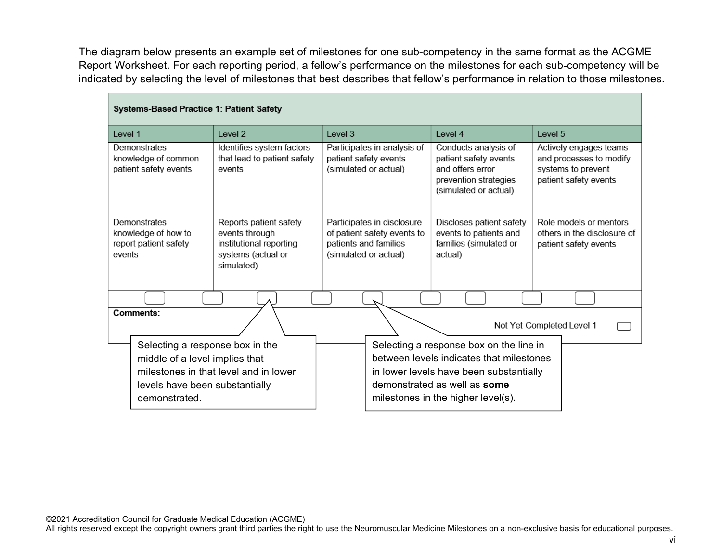The diagram below presents an example set of milestones for one sub-competency in the same format as the ACGME Report Worksheet. For each reporting period, a fellow's performance on the milestones for each sub-competency will be indicated by selecting the level of milestones that best describes that fellow's performance in relation to those milestones.

| Systems-Based Practice 1: Patient Safety                               |                                                                                                                                              |                                                                                                             |                                                                                                                                                                                                      |                                                                                                  |
|------------------------------------------------------------------------|----------------------------------------------------------------------------------------------------------------------------------------------|-------------------------------------------------------------------------------------------------------------|------------------------------------------------------------------------------------------------------------------------------------------------------------------------------------------------------|--------------------------------------------------------------------------------------------------|
| Level 1                                                                | Level 2                                                                                                                                      | Level 3                                                                                                     | Level 4                                                                                                                                                                                              | Level 5                                                                                          |
| Demonstrates<br>knowledge of common<br>patient safety events           | Identifies system factors<br>that lead to patient safety<br>events                                                                           | Participates in analysis of<br>patient safety events<br>(simulated or actual)                               | Conducts analysis of<br>patient safety events<br>and offers error<br>prevention strategies<br>(simulated or actual)                                                                                  | Actively engages teams<br>and processes to modify<br>systems to prevent<br>patient safety events |
| Demonstrates<br>knowledge of how to<br>report patient safety<br>events | Reports patient safety<br>events through<br>institutional reporting<br>systems (actual or<br>simulated)                                      | Participates in disclosure<br>of patient safety events to<br>patients and families<br>(simulated or actual) | Discloses patient safety<br>events to patients and<br>families (simulated or<br>actual)                                                                                                              | Role models or mentors<br>others in the disclosure of<br>patient safety events                   |
|                                                                        |                                                                                                                                              |                                                                                                             |                                                                                                                                                                                                      |                                                                                                  |
| Comments:                                                              |                                                                                                                                              |                                                                                                             |                                                                                                                                                                                                      | Not Yet Completed Level 1                                                                        |
| demonstrated.                                                          | Selecting a response box in the<br>middle of a level implies that<br>milestones in that level and in lower<br>levels have been substantially |                                                                                                             | Selecting a response box on the line in<br>between levels indicates that milestones<br>in lower levels have been substantially<br>demonstrated as well as some<br>milestones in the higher level(s). |                                                                                                  |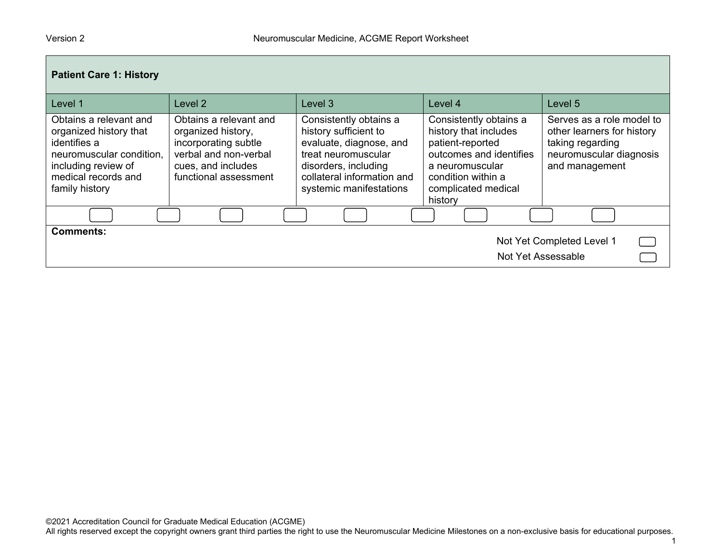| <b>Patient Care 1: History</b>                                                                                                                               |                                                                                                                                              |                                                                                                                                                                                    |                                                                                                                                                                           |                                                                                                                          |  |
|--------------------------------------------------------------------------------------------------------------------------------------------------------------|----------------------------------------------------------------------------------------------------------------------------------------------|------------------------------------------------------------------------------------------------------------------------------------------------------------------------------------|---------------------------------------------------------------------------------------------------------------------------------------------------------------------------|--------------------------------------------------------------------------------------------------------------------------|--|
| Level 1                                                                                                                                                      | Level 2                                                                                                                                      | Level 3                                                                                                                                                                            | Level 4                                                                                                                                                                   | Level 5                                                                                                                  |  |
| Obtains a relevant and<br>organized history that<br>identifies a<br>neuromuscular condition,<br>including review of<br>medical records and<br>family history | Obtains a relevant and<br>organized history,<br>incorporating subtle<br>verbal and non-verbal<br>cues, and includes<br>functional assessment | Consistently obtains a<br>history sufficient to<br>evaluate, diagnose, and<br>treat neuromuscular<br>disorders, including<br>collateral information and<br>systemic manifestations | Consistently obtains a<br>history that includes<br>patient-reported<br>outcomes and identifies<br>a neuromuscular<br>condition within a<br>complicated medical<br>history | Serves as a role model to<br>other learners for history<br>taking regarding<br>neuromuscular diagnosis<br>and management |  |
|                                                                                                                                                              |                                                                                                                                              |                                                                                                                                                                                    |                                                                                                                                                                           |                                                                                                                          |  |
| <b>Comments:</b>                                                                                                                                             |                                                                                                                                              |                                                                                                                                                                                    | Not Yet Assessable                                                                                                                                                        | Not Yet Completed Level 1                                                                                                |  |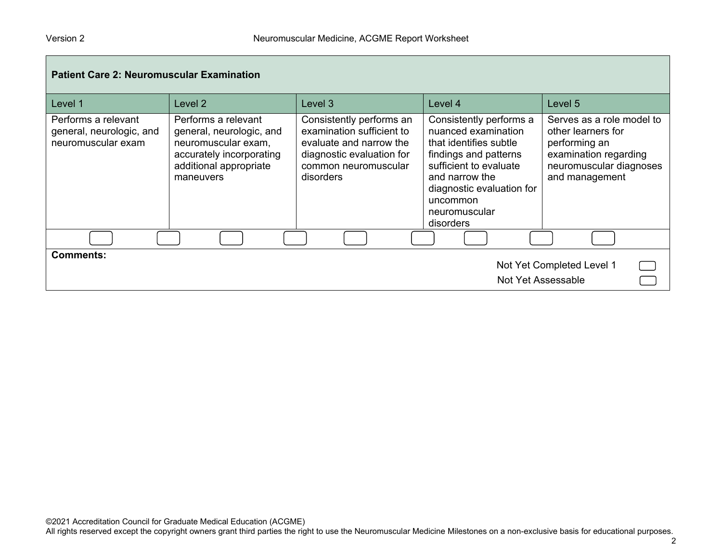| <b>Patient Care 2: Neuromuscular Examination</b>                      |                                                                                                                                           |                                                                                                                                                    |                                                                                                                                                                                                                      |                                                                                                                                        |  |
|-----------------------------------------------------------------------|-------------------------------------------------------------------------------------------------------------------------------------------|----------------------------------------------------------------------------------------------------------------------------------------------------|----------------------------------------------------------------------------------------------------------------------------------------------------------------------------------------------------------------------|----------------------------------------------------------------------------------------------------------------------------------------|--|
| Level 1                                                               | Level 2                                                                                                                                   | Level 3                                                                                                                                            | Level 4                                                                                                                                                                                                              | Level 5                                                                                                                                |  |
| Performs a relevant<br>general, neurologic, and<br>neuromuscular exam | Performs a relevant<br>general, neurologic, and<br>neuromuscular exam,<br>accurately incorporating<br>additional appropriate<br>maneuvers | Consistently performs an<br>examination sufficient to<br>evaluate and narrow the<br>diagnostic evaluation for<br>common neuromuscular<br>disorders | Consistently performs a<br>nuanced examination<br>that identifies subtle<br>findings and patterns<br>sufficient to evaluate<br>and narrow the<br>diagnostic evaluation for<br>uncommon<br>neuromuscular<br>disorders | Serves as a role model to<br>other learners for<br>performing an<br>examination regarding<br>neuromuscular diagnoses<br>and management |  |
|                                                                       |                                                                                                                                           |                                                                                                                                                    |                                                                                                                                                                                                                      |                                                                                                                                        |  |
| <b>Comments:</b><br>Not Yet Completed Level 1<br>Not Yet Assessable   |                                                                                                                                           |                                                                                                                                                    |                                                                                                                                                                                                                      |                                                                                                                                        |  |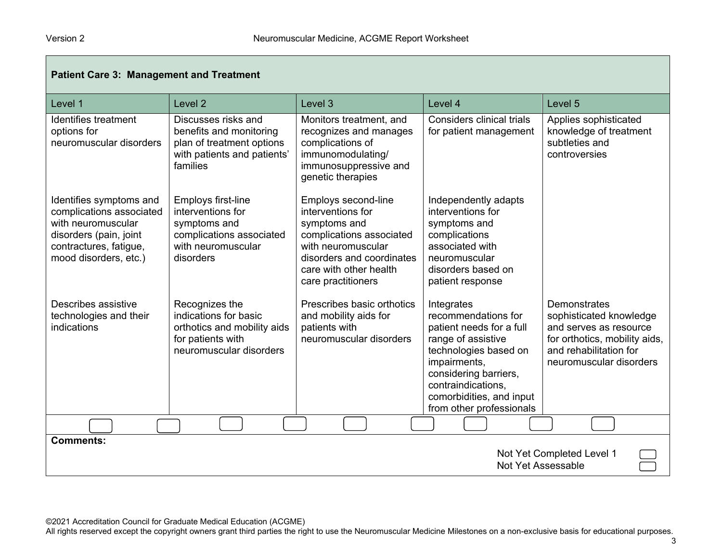| <b>Patient Care 3: Management and Treatment</b>                                                                                                        |                                                                                                                        |                                                                                                                                                                                         |                                                                                                                                                                                                                                     |                                                                                                                                                         |
|--------------------------------------------------------------------------------------------------------------------------------------------------------|------------------------------------------------------------------------------------------------------------------------|-----------------------------------------------------------------------------------------------------------------------------------------------------------------------------------------|-------------------------------------------------------------------------------------------------------------------------------------------------------------------------------------------------------------------------------------|---------------------------------------------------------------------------------------------------------------------------------------------------------|
| Level 1                                                                                                                                                | Level <sub>2</sub>                                                                                                     | Level 3                                                                                                                                                                                 | Level 4                                                                                                                                                                                                                             | Level 5                                                                                                                                                 |
| Identifies treatment<br>options for<br>neuromuscular disorders                                                                                         | Discusses risks and<br>benefits and monitoring<br>plan of treatment options<br>with patients and patients'<br>families | Monitors treatment, and<br>recognizes and manages<br>complications of<br>immunomodulating/<br>immunosuppressive and<br>genetic therapies                                                | Considers clinical trials<br>for patient management                                                                                                                                                                                 | Applies sophisticated<br>knowledge of treatment<br>subtleties and<br>controversies                                                                      |
| Identifies symptoms and<br>complications associated<br>with neuromuscular<br>disorders (pain, joint<br>contractures, fatigue,<br>mood disorders, etc.) | Employs first-line<br>interventions for<br>symptoms and<br>complications associated<br>with neuromuscular<br>disorders | Employs second-line<br>interventions for<br>symptoms and<br>complications associated<br>with neuromuscular<br>disorders and coordinates<br>care with other health<br>care practitioners | Independently adapts<br>interventions for<br>symptoms and<br>complications<br>associated with<br>neuromuscular<br>disorders based on<br>patient response                                                                            |                                                                                                                                                         |
| Describes assistive<br>technologies and their<br>indications                                                                                           | Recognizes the<br>indications for basic<br>orthotics and mobility aids<br>for patients with<br>neuromuscular disorders | Prescribes basic orthotics<br>and mobility aids for<br>patients with<br>neuromuscular disorders                                                                                         | Integrates<br>recommendations for<br>patient needs for a full<br>range of assistive<br>technologies based on<br>impairments,<br>considering barriers,<br>contraindications,<br>comorbidities, and input<br>from other professionals | Demonstrates<br>sophisticated knowledge<br>and serves as resource<br>for orthotics, mobility aids,<br>and rehabilitation for<br>neuromuscular disorders |
|                                                                                                                                                        |                                                                                                                        |                                                                                                                                                                                         |                                                                                                                                                                                                                                     |                                                                                                                                                         |
| <b>Comments:</b><br>Not Yet Completed Level 1<br>Not Yet Assessable                                                                                    |                                                                                                                        |                                                                                                                                                                                         |                                                                                                                                                                                                                                     |                                                                                                                                                         |

©2021 Accreditation Council for Graduate Medical Education (ACGME)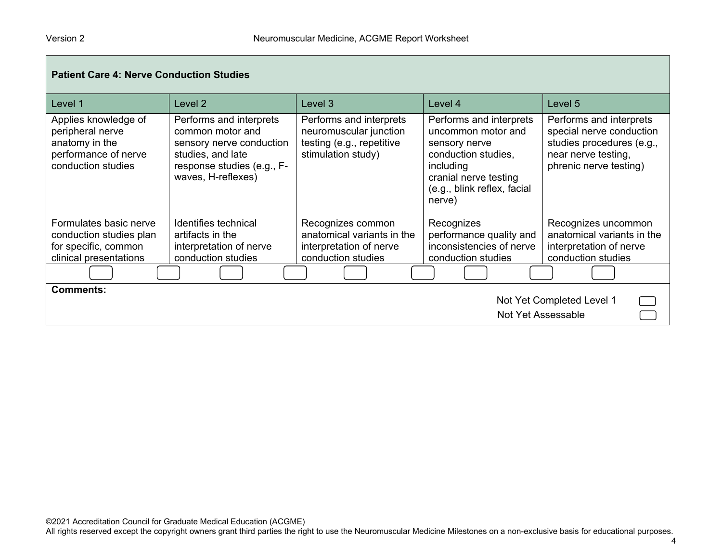| <b>Patient Care 4: Nerve Conduction Studies</b>                                                          |                                                                                                                                                  |                                                                                                      |                                                                                                                                                                      |                                                                                                                                   |
|----------------------------------------------------------------------------------------------------------|--------------------------------------------------------------------------------------------------------------------------------------------------|------------------------------------------------------------------------------------------------------|----------------------------------------------------------------------------------------------------------------------------------------------------------------------|-----------------------------------------------------------------------------------------------------------------------------------|
| Level 1                                                                                                  | Level 2                                                                                                                                          | Level 3                                                                                              | Level 4                                                                                                                                                              | Level 5                                                                                                                           |
| Applies knowledge of<br>peripheral nerve<br>anatomy in the<br>performance of nerve<br>conduction studies | Performs and interprets<br>common motor and<br>sensory nerve conduction<br>studies, and late<br>response studies (e.g., F-<br>waves, H-reflexes) | Performs and interprets<br>neuromuscular junction<br>testing (e.g., repetitive<br>stimulation study) | Performs and interprets<br>uncommon motor and<br>sensory nerve<br>conduction studies,<br>including<br>cranial nerve testing<br>(e.g., blink reflex, facial<br>nerve) | Performs and interprets<br>special nerve conduction<br>studies procedures (e.g.,<br>near nerve testing,<br>phrenic nerve testing) |
| Formulates basic nerve<br>conduction studies plan<br>for specific, common<br>clinical presentations      | Identifies technical<br>artifacts in the<br>interpretation of nerve<br>conduction studies                                                        | Recognizes common<br>anatomical variants in the<br>interpretation of nerve<br>conduction studies     | Recognizes<br>performance quality and<br>inconsistencies of nerve<br>conduction studies                                                                              | Recognizes uncommon<br>anatomical variants in the<br>interpretation of nerve<br>conduction studies                                |
|                                                                                                          |                                                                                                                                                  |                                                                                                      |                                                                                                                                                                      |                                                                                                                                   |
| <b>Comments:</b><br>Not Yet Completed Level 1<br>Not Yet Assessable                                      |                                                                                                                                                  |                                                                                                      |                                                                                                                                                                      |                                                                                                                                   |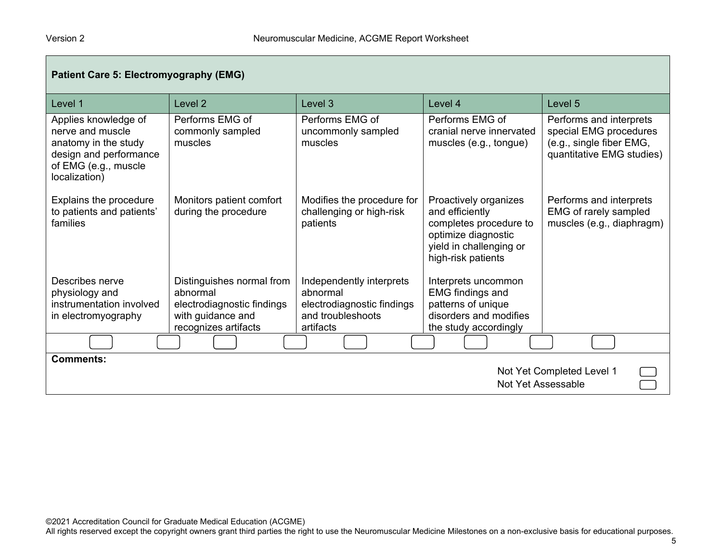| <b>Patient Care 5: Electromyography (EMG)</b>                                                                                       |                                                  |                                                                    |                                                                                                                                            |                                                                                                            |
|-------------------------------------------------------------------------------------------------------------------------------------|--------------------------------------------------|--------------------------------------------------------------------|--------------------------------------------------------------------------------------------------------------------------------------------|------------------------------------------------------------------------------------------------------------|
| Level 1                                                                                                                             | Level 2                                          | Level <sub>3</sub>                                                 | Level 4                                                                                                                                    | Level <sub>5</sub>                                                                                         |
| Applies knowledge of<br>nerve and muscle<br>anatomy in the study<br>design and performance<br>of EMG (e.g., muscle<br>localization) | Performs EMG of<br>commonly sampled<br>muscles   | Performs EMG of<br>uncommonly sampled<br>muscles                   | Performs EMG of<br>cranial nerve innervated<br>muscles (e.g., tongue)                                                                      | Performs and interprets<br>special EMG procedures<br>(e.g., single fiber EMG,<br>quantitative EMG studies) |
| Explains the procedure<br>to patients and patients'<br>families                                                                     | Monitors patient comfort<br>during the procedure | Modifies the procedure for<br>challenging or high-risk<br>patients | Proactively organizes<br>and efficiently<br>completes procedure to<br>optimize diagnostic<br>yield in challenging or<br>high-risk patients | Performs and interprets<br>EMG of rarely sampled<br>muscles (e.g., diaphragm)                              |
| Describes nerve<br>physiology and                                                                                                   | Distinguishes normal from<br>abnormal            | Independently interprets<br>abnormal                               | Interprets uncommon<br><b>EMG</b> findings and                                                                                             |                                                                                                            |
| instrumentation involved                                                                                                            | electrodiagnostic findings                       | electrodiagnostic findings                                         | patterns of unique                                                                                                                         |                                                                                                            |
| in electromyography                                                                                                                 | with guidance and<br>recognizes artifacts        | and troubleshoots<br>artifacts                                     | disorders and modifies<br>the study accordingly                                                                                            |                                                                                                            |
|                                                                                                                                     |                                                  |                                                                    |                                                                                                                                            |                                                                                                            |
| <b>Comments:</b><br>Not Yet Completed Level 1<br>Not Yet Assessable                                                                 |                                                  |                                                                    |                                                                                                                                            |                                                                                                            |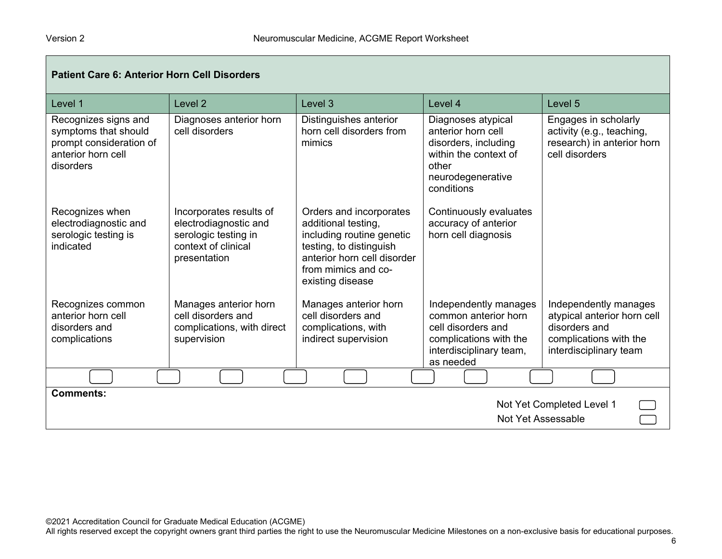| <b>Patient Care 6: Anterior Horn Cell Disorders</b>                                                        |                                                                                                                 |                                                                                                                                                                                  |                                                                                                                                       |                                                                                                                           |
|------------------------------------------------------------------------------------------------------------|-----------------------------------------------------------------------------------------------------------------|----------------------------------------------------------------------------------------------------------------------------------------------------------------------------------|---------------------------------------------------------------------------------------------------------------------------------------|---------------------------------------------------------------------------------------------------------------------------|
| Level 1                                                                                                    | Level <sub>2</sub>                                                                                              | Level <sub>3</sub>                                                                                                                                                               | Level 4                                                                                                                               | Level 5                                                                                                                   |
| Recognizes signs and<br>symptoms that should<br>prompt consideration of<br>anterior horn cell<br>disorders | Diagnoses anterior horn<br>cell disorders                                                                       | Distinguishes anterior<br>horn cell disorders from<br>mimics                                                                                                                     | Diagnoses atypical<br>anterior horn cell<br>disorders, including<br>within the context of<br>other<br>neurodegenerative<br>conditions | Engages in scholarly<br>activity (e.g., teaching,<br>research) in anterior horn<br>cell disorders                         |
| Recognizes when<br>electrodiagnostic and<br>serologic testing is<br>indicated                              | Incorporates results of<br>electrodiagnostic and<br>serologic testing in<br>context of clinical<br>presentation | Orders and incorporates<br>additional testing,<br>including routine genetic<br>testing, to distinguish<br>anterior horn cell disorder<br>from mimics and co-<br>existing disease | Continuously evaluates<br>accuracy of anterior<br>horn cell diagnosis                                                                 |                                                                                                                           |
| Recognizes common<br>anterior horn cell<br>disorders and<br>complications                                  | Manages anterior horn<br>cell disorders and<br>complications, with direct<br>supervision                        | Manages anterior horn<br>cell disorders and<br>complications, with<br>indirect supervision                                                                                       | Independently manages<br>common anterior horn<br>cell disorders and<br>complications with the<br>interdisciplinary team,<br>as needed | Independently manages<br>atypical anterior horn cell<br>disorders and<br>complications with the<br>interdisciplinary team |
|                                                                                                            |                                                                                                                 |                                                                                                                                                                                  |                                                                                                                                       |                                                                                                                           |
| <b>Comments:</b><br>Not Yet Completed Level 1<br>Not Yet Assessable                                        |                                                                                                                 |                                                                                                                                                                                  |                                                                                                                                       |                                                                                                                           |

©2021 Accreditation Council for Graduate Medical Education (ACGME)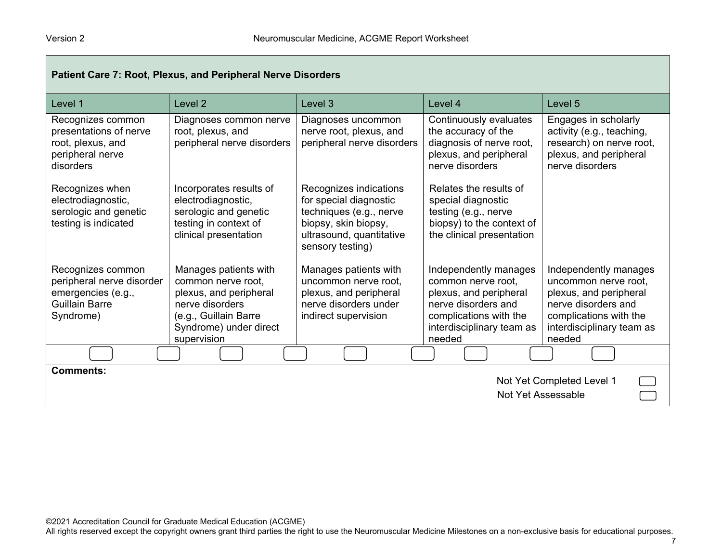| Patient Care 7: Root, Plexus, and Peripheral Nerve Disorders                                               |                                                                                                                                                            |                                                                                                                                                     |                                                                                                                                                               |                                                                                                                                                                 |
|------------------------------------------------------------------------------------------------------------|------------------------------------------------------------------------------------------------------------------------------------------------------------|-----------------------------------------------------------------------------------------------------------------------------------------------------|---------------------------------------------------------------------------------------------------------------------------------------------------------------|-----------------------------------------------------------------------------------------------------------------------------------------------------------------|
| Level 1                                                                                                    | Level 2                                                                                                                                                    | Level 3                                                                                                                                             | Level 4                                                                                                                                                       | Level <sub>5</sub>                                                                                                                                              |
| Recognizes common<br>presentations of nerve<br>root, plexus, and<br>peripheral nerve<br>disorders          | Diagnoses common nerve<br>root, plexus, and<br>peripheral nerve disorders                                                                                  | Diagnoses uncommon<br>nerve root, plexus, and<br>peripheral nerve disorders                                                                         | Continuously evaluates<br>the accuracy of the<br>diagnosis of nerve root,<br>plexus, and peripheral<br>nerve disorders                                        | Engages in scholarly<br>activity (e.g., teaching,<br>research) on nerve root,<br>plexus, and peripheral<br>nerve disorders                                      |
| Recognizes when<br>electrodiagnostic,<br>serologic and genetic<br>testing is indicated                     | Incorporates results of<br>electrodiagnostic,<br>serologic and genetic<br>testing in context of<br>clinical presentation                                   | Recognizes indications<br>for special diagnostic<br>techniques (e.g., nerve<br>biopsy, skin biopsy,<br>ultrasound, quantitative<br>sensory testing) | Relates the results of<br>special diagnostic<br>testing (e.g., nerve<br>biopsy) to the context of<br>the clinical presentation                                |                                                                                                                                                                 |
| Recognizes common<br>peripheral nerve disorder<br>emergencies (e.g.,<br><b>Guillain Barre</b><br>Syndrome) | Manages patients with<br>common nerve root,<br>plexus, and peripheral<br>nerve disorders<br>(e.g., Guillain Barre<br>Syndrome) under direct<br>supervision | Manages patients with<br>uncommon nerve root,<br>plexus, and peripheral<br>nerve disorders under<br>indirect supervision                            | Independently manages<br>common nerve root,<br>plexus, and peripheral<br>nerve disorders and<br>complications with the<br>interdisciplinary team as<br>needed | Independently manages<br>uncommon nerve root,<br>plexus, and peripheral<br>nerve disorders and<br>complications with the<br>interdisciplinary team as<br>needed |
|                                                                                                            |                                                                                                                                                            |                                                                                                                                                     |                                                                                                                                                               |                                                                                                                                                                 |
| <b>Comments:</b><br>Not Yet Completed Level 1<br>Not Yet Assessable                                        |                                                                                                                                                            |                                                                                                                                                     |                                                                                                                                                               |                                                                                                                                                                 |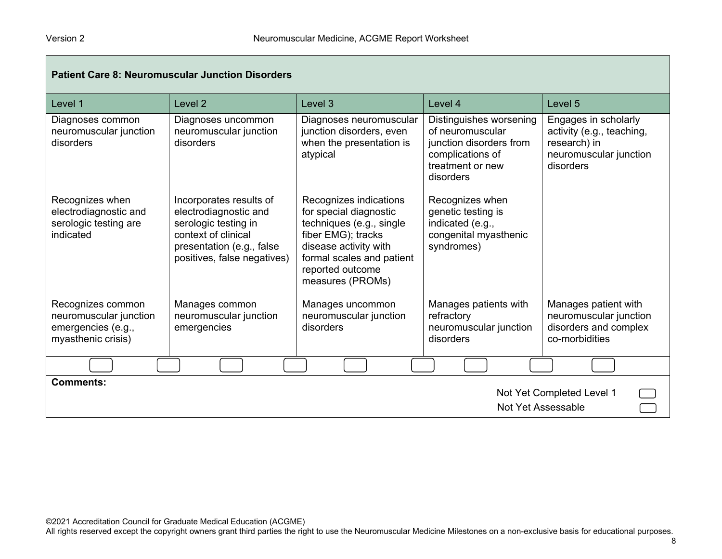| <b>Patient Care 8: Neuromuscular Junction Disorders</b>                                 |                                                                                                                                                             |                                                                                                                                                                                                  |                                                                                                                             |                                                                                                          |
|-----------------------------------------------------------------------------------------|-------------------------------------------------------------------------------------------------------------------------------------------------------------|--------------------------------------------------------------------------------------------------------------------------------------------------------------------------------------------------|-----------------------------------------------------------------------------------------------------------------------------|----------------------------------------------------------------------------------------------------------|
| Level 1                                                                                 | Level <sub>2</sub>                                                                                                                                          | Level <sub>3</sub>                                                                                                                                                                               | Level 4                                                                                                                     | Level 5                                                                                                  |
| Diagnoses common<br>neuromuscular junction<br>disorders                                 | Diagnoses uncommon<br>neuromuscular junction<br>disorders                                                                                                   | Diagnoses neuromuscular<br>junction disorders, even<br>when the presentation is<br>atypical                                                                                                      | Distinguishes worsening<br>of neuromuscular<br>junction disorders from<br>complications of<br>treatment or new<br>disorders | Engages in scholarly<br>activity (e.g., teaching,<br>research) in<br>neuromuscular junction<br>disorders |
| Recognizes when<br>electrodiagnostic and<br>serologic testing are<br>indicated          | Incorporates results of<br>electrodiagnostic and<br>serologic testing in<br>context of clinical<br>presentation (e.g., false<br>positives, false negatives) | Recognizes indications<br>for special diagnostic<br>techniques (e.g., single<br>fiber EMG); tracks<br>disease activity with<br>formal scales and patient<br>reported outcome<br>measures (PROMs) | Recognizes when<br>genetic testing is<br>indicated (e.g.,<br>congenital myasthenic<br>syndromes)                            |                                                                                                          |
| Recognizes common<br>neuromuscular junction<br>emergencies (e.g.,<br>myasthenic crisis) | Manages common<br>neuromuscular junction<br>emergencies                                                                                                     | Manages uncommon<br>neuromuscular junction<br>disorders                                                                                                                                          | Manages patients with<br>refractory<br>neuromuscular junction<br>disorders                                                  | Manages patient with<br>neuromuscular junction<br>disorders and complex<br>co-morbidities                |
|                                                                                         |                                                                                                                                                             |                                                                                                                                                                                                  |                                                                                                                             |                                                                                                          |
| <b>Comments:</b><br>Not Yet Completed Level 1<br>Not Yet Assessable                     |                                                                                                                                                             |                                                                                                                                                                                                  |                                                                                                                             |                                                                                                          |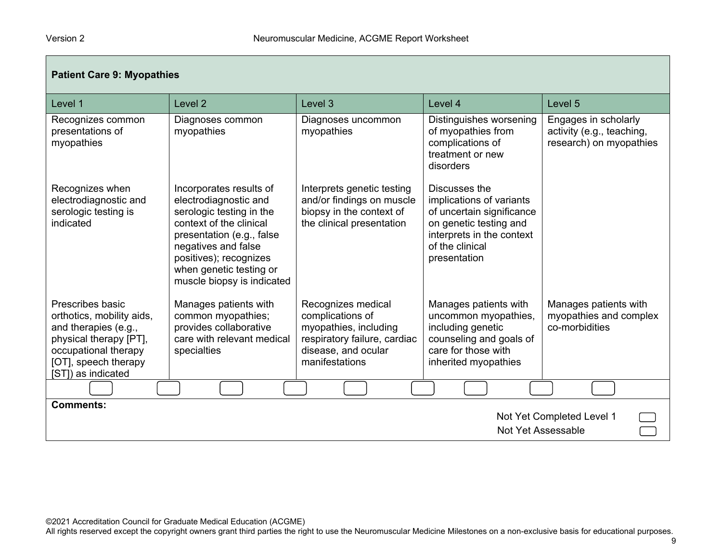| <b>Patient Care 9: Myopathies</b>                                                                                                                                     |                                                                                                                                                                                                                                                |                                                                                                                                          |                                                                                                                                                                  |                                                                              |
|-----------------------------------------------------------------------------------------------------------------------------------------------------------------------|------------------------------------------------------------------------------------------------------------------------------------------------------------------------------------------------------------------------------------------------|------------------------------------------------------------------------------------------------------------------------------------------|------------------------------------------------------------------------------------------------------------------------------------------------------------------|------------------------------------------------------------------------------|
| Level 1                                                                                                                                                               | Level <sub>2</sub>                                                                                                                                                                                                                             | Level <sub>3</sub>                                                                                                                       | Level 4                                                                                                                                                          | Level 5                                                                      |
| Recognizes common<br>presentations of<br>myopathies                                                                                                                   | Diagnoses common<br>myopathies                                                                                                                                                                                                                 | Diagnoses uncommon<br>myopathies                                                                                                         | Distinguishes worsening<br>of myopathies from<br>complications of<br>treatment or new<br>disorders                                                               | Engages in scholarly<br>activity (e.g., teaching,<br>research) on myopathies |
| Recognizes when<br>electrodiagnostic and<br>serologic testing is<br>indicated                                                                                         | Incorporates results of<br>electrodiagnostic and<br>serologic testing in the<br>context of the clinical<br>presentation (e.g., false<br>negatives and false<br>positives); recognizes<br>when genetic testing or<br>muscle biopsy is indicated | Interprets genetic testing<br>and/or findings on muscle<br>biopsy in the context of<br>the clinical presentation                         | Discusses the<br>implications of variants<br>of uncertain significance<br>on genetic testing and<br>interprets in the context<br>of the clinical<br>presentation |                                                                              |
| Prescribes basic<br>orthotics, mobility aids,<br>and therapies (e.g.,<br>physical therapy [PT],<br>occupational therapy<br>[OT], speech therapy<br>[ST]) as indicated | Manages patients with<br>common myopathies;<br>provides collaborative<br>care with relevant medical<br>specialties                                                                                                                             | Recognizes medical<br>complications of<br>myopathies, including<br>respiratory failure, cardiac<br>disease, and ocular<br>manifestations | Manages patients with<br>uncommon myopathies,<br>including genetic<br>counseling and goals of<br>care for those with<br>inherited myopathies                     | Manages patients with<br>myopathies and complex<br>co-morbidities            |
|                                                                                                                                                                       |                                                                                                                                                                                                                                                |                                                                                                                                          |                                                                                                                                                                  |                                                                              |
| <b>Comments:</b><br>Not Yet Completed Level 1<br>Not Yet Assessable                                                                                                   |                                                                                                                                                                                                                                                |                                                                                                                                          |                                                                                                                                                                  |                                                                              |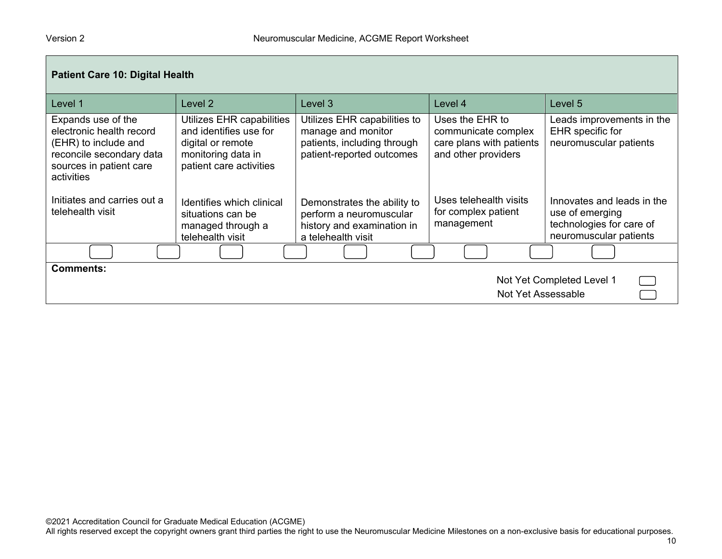| <b>Patient Care 10: Digital Health</b>                                                                                                      |                                                                                                                           |                                                                                                                |                                                                                           |                                                                                                     |  |
|---------------------------------------------------------------------------------------------------------------------------------------------|---------------------------------------------------------------------------------------------------------------------------|----------------------------------------------------------------------------------------------------------------|-------------------------------------------------------------------------------------------|-----------------------------------------------------------------------------------------------------|--|
| Level 1                                                                                                                                     | Level 2                                                                                                                   | Level 3                                                                                                        | Level 4                                                                                   | Level 5                                                                                             |  |
| Expands use of the<br>electronic health record<br>(EHR) to include and<br>reconcile secondary data<br>sources in patient care<br>activities | Utilizes EHR capabilities<br>and identifies use for<br>digital or remote<br>monitoring data in<br>patient care activities | Utilizes EHR capabilities to<br>manage and monitor<br>patients, including through<br>patient-reported outcomes | Uses the EHR to<br>communicate complex<br>care plans with patients<br>and other providers | Leads improvements in the<br>EHR specific for<br>neuromuscular patients                             |  |
| Initiates and carries out a<br>telehealth visit                                                                                             | Identifies which clinical<br>situations can be<br>managed through a<br>telehealth visit                                   | Demonstrates the ability to<br>perform a neuromuscular<br>history and examination in<br>a telehealth visit     | Uses telehealth visits<br>for complex patient<br>management                               | Innovates and leads in the<br>use of emerging<br>technologies for care of<br>neuromuscular patients |  |
|                                                                                                                                             |                                                                                                                           |                                                                                                                |                                                                                           |                                                                                                     |  |
| <b>Comments:</b><br>Not Yet Completed Level 1<br>Not Yet Assessable                                                                         |                                                                                                                           |                                                                                                                |                                                                                           |                                                                                                     |  |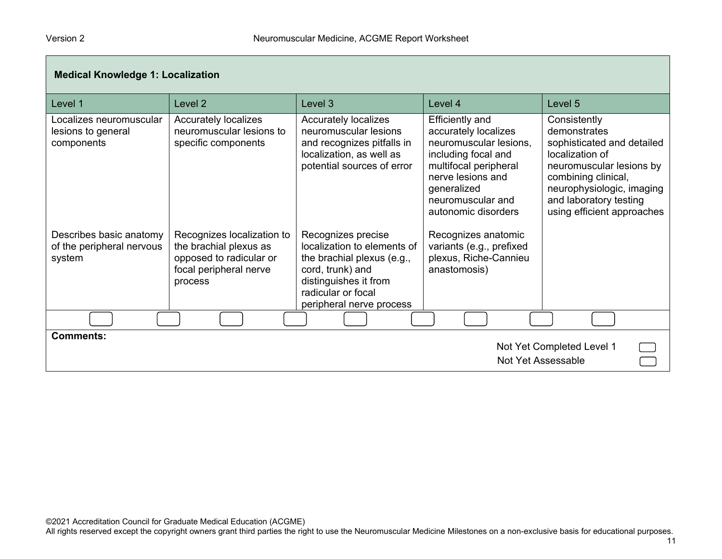| <b>Medical Knowledge 1: Localization</b>                       |                                                                                                                      |                                                                                                                                                                                |                                                                                                                                                                                                          |                                                                                                                                                                                                                       |
|----------------------------------------------------------------|----------------------------------------------------------------------------------------------------------------------|--------------------------------------------------------------------------------------------------------------------------------------------------------------------------------|----------------------------------------------------------------------------------------------------------------------------------------------------------------------------------------------------------|-----------------------------------------------------------------------------------------------------------------------------------------------------------------------------------------------------------------------|
| Level 1                                                        | Level <sub>2</sub>                                                                                                   | Level 3                                                                                                                                                                        | Level 4                                                                                                                                                                                                  | Level 5                                                                                                                                                                                                               |
| Localizes neuromuscular<br>lesions to general<br>components    | <b>Accurately localizes</b><br>neuromuscular lesions to<br>specific components                                       | <b>Accurately localizes</b><br>neuromuscular lesions<br>and recognizes pitfalls in<br>localization, as well as<br>potential sources of error                                   | <b>Efficiently and</b><br>accurately localizes<br>neuromuscular lesions,<br>including focal and<br>multifocal peripheral<br>nerve lesions and<br>generalized<br>neuromuscular and<br>autonomic disorders | Consistently<br>demonstrates<br>sophisticated and detailed<br>localization of<br>neuromuscular lesions by<br>combining clinical,<br>neurophysiologic, imaging<br>and laboratory testing<br>using efficient approaches |
| Describes basic anatomy<br>of the peripheral nervous<br>system | Recognizes localization to<br>the brachial plexus as<br>opposed to radicular or<br>focal peripheral nerve<br>process | Recognizes precise<br>localization to elements of<br>the brachial plexus (e.g.,<br>cord, trunk) and<br>distinguishes it from<br>radicular or focal<br>peripheral nerve process | Recognizes anatomic<br>variants (e.g., prefixed<br>plexus, Riche-Cannieu<br>anastomosis)                                                                                                                 |                                                                                                                                                                                                                       |
|                                                                |                                                                                                                      |                                                                                                                                                                                |                                                                                                                                                                                                          |                                                                                                                                                                                                                       |
| <b>Comments:</b>                                               |                                                                                                                      |                                                                                                                                                                                |                                                                                                                                                                                                          | Not Yet Completed Level 1<br>Not Yet Assessable                                                                                                                                                                       |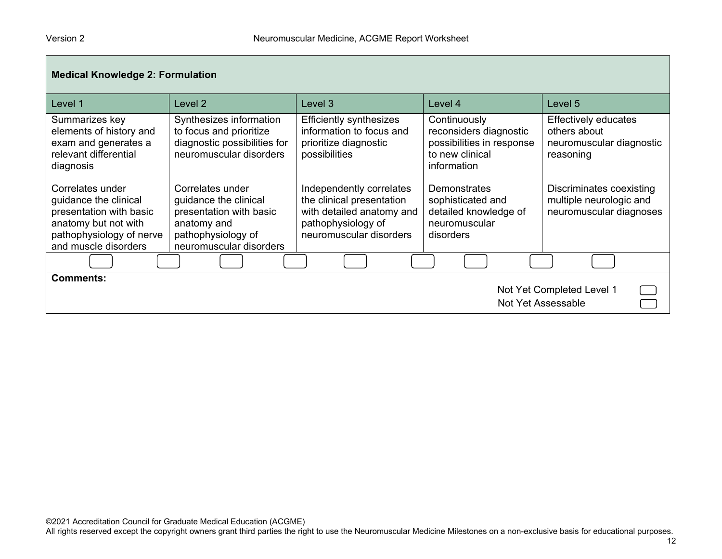| <b>Medical Knowledge 2: Formulation</b>                                                                                                          |                                                                                                                                      |                                                                                                                                     |                                                                                                       |                                                                                      |
|--------------------------------------------------------------------------------------------------------------------------------------------------|--------------------------------------------------------------------------------------------------------------------------------------|-------------------------------------------------------------------------------------------------------------------------------------|-------------------------------------------------------------------------------------------------------|--------------------------------------------------------------------------------------|
| Level 1                                                                                                                                          | Level 2                                                                                                                              | Level 3                                                                                                                             | Level 4                                                                                               | Level 5                                                                              |
| Summarizes key<br>elements of history and<br>exam and generates a<br>relevant differential<br>diagnosis                                          | Synthesizes information<br>to focus and prioritize<br>diagnostic possibilities for<br>neuromuscular disorders                        | <b>Efficiently synthesizes</b><br>information to focus and<br>prioritize diagnostic<br>possibilities                                | Continuously<br>reconsiders diagnostic<br>possibilities in response<br>to new clinical<br>information | <b>Effectively educates</b><br>others about<br>neuromuscular diagnostic<br>reasoning |
| Correlates under<br>guidance the clinical<br>presentation with basic<br>anatomy but not with<br>pathophysiology of nerve<br>and muscle disorders | Correlates under<br>guidance the clinical<br>presentation with basic<br>anatomy and<br>pathophysiology of<br>neuromuscular disorders | Independently correlates<br>the clinical presentation<br>with detailed anatomy and<br>pathophysiology of<br>neuromuscular disorders | Demonstrates<br>sophisticated and<br>detailed knowledge of<br>neuromuscular<br>disorders              | Discriminates coexisting<br>multiple neurologic and<br>neuromuscular diagnoses       |
|                                                                                                                                                  |                                                                                                                                      |                                                                                                                                     |                                                                                                       |                                                                                      |
| <b>Comments:</b><br>Not Yet Completed Level 1<br>Not Yet Assessable                                                                              |                                                                                                                                      |                                                                                                                                     |                                                                                                       |                                                                                      |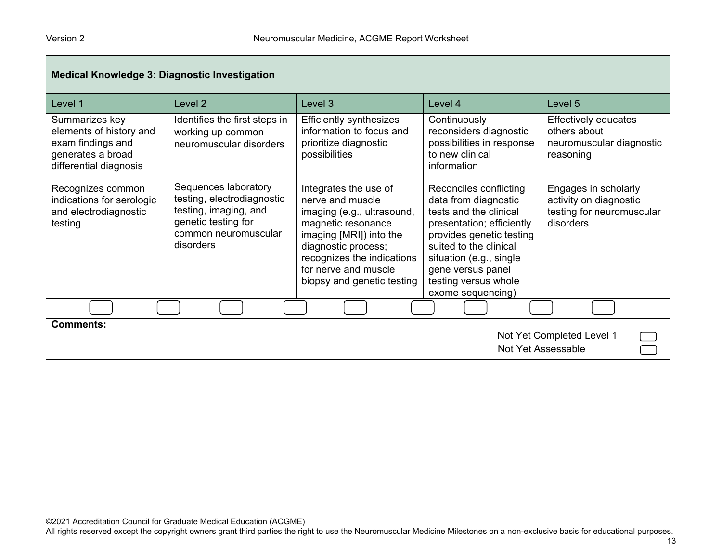┍

| <b>Medical Knowledge 3: Diagnostic Investigation</b>                                                          |                                                                                                                                         |                                                                                                                                                                                                                                     |                                                                                                                                                                                                                                                          |                                                                                          |
|---------------------------------------------------------------------------------------------------------------|-----------------------------------------------------------------------------------------------------------------------------------------|-------------------------------------------------------------------------------------------------------------------------------------------------------------------------------------------------------------------------------------|----------------------------------------------------------------------------------------------------------------------------------------------------------------------------------------------------------------------------------------------------------|------------------------------------------------------------------------------------------|
| Level 1                                                                                                       | Level <sub>2</sub>                                                                                                                      | Level 3                                                                                                                                                                                                                             | Level 4                                                                                                                                                                                                                                                  | Level 5                                                                                  |
| Summarizes key<br>elements of history and<br>exam findings and<br>generates a broad<br>differential diagnosis | Identifies the first steps in<br>working up common<br>neuromuscular disorders                                                           | <b>Efficiently synthesizes</b><br>information to focus and<br>prioritize diagnostic<br>possibilities                                                                                                                                | Continuously<br>reconsiders diagnostic<br>possibilities in response<br>to new clinical<br>information                                                                                                                                                    | Effectively educates<br>others about<br>neuromuscular diagnostic<br>reasoning            |
| Recognizes common<br>indications for serologic<br>and electrodiagnostic<br>testing                            | Sequences laboratory<br>testing, electrodiagnostic<br>testing, imaging, and<br>genetic testing for<br>common neuromuscular<br>disorders | Integrates the use of<br>nerve and muscle<br>imaging (e.g., ultrasound,<br>magnetic resonance<br>imaging [MRI]) into the<br>diagnostic process;<br>recognizes the indications<br>for nerve and muscle<br>biopsy and genetic testing | Reconciles conflicting<br>data from diagnostic<br>tests and the clinical<br>presentation; efficiently<br>provides genetic testing<br>suited to the clinical<br>situation (e.g., single<br>gene versus panel<br>testing versus whole<br>exome sequencing) | Engages in scholarly<br>activity on diagnostic<br>testing for neuromuscular<br>disorders |
|                                                                                                               |                                                                                                                                         |                                                                                                                                                                                                                                     |                                                                                                                                                                                                                                                          |                                                                                          |
| <b>Comments:</b><br>Not Yet Completed Level 1<br>Not Yet Assessable                                           |                                                                                                                                         |                                                                                                                                                                                                                                     |                                                                                                                                                                                                                                                          |                                                                                          |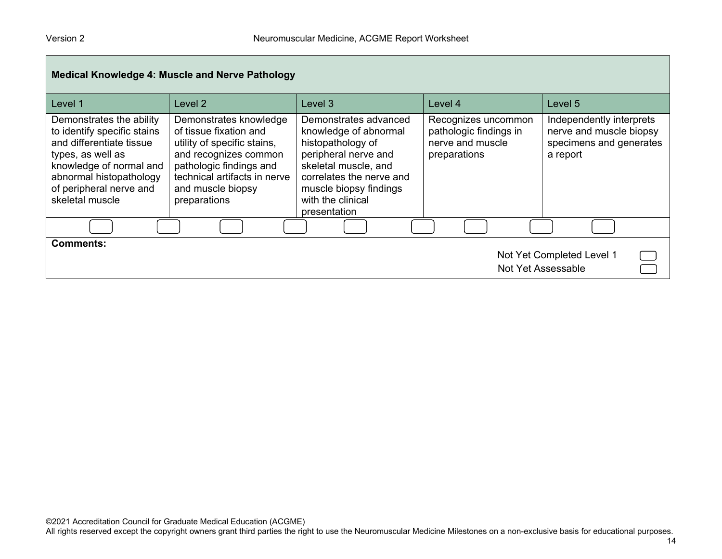| <b>Medical Knowledge 4: Muscle and Nerve Pathology</b>                                                                                                                                                       |                                                                                                                                                                                                          |                                                                                                                                                                                                                |                                                                                   |                                                                                            |
|--------------------------------------------------------------------------------------------------------------------------------------------------------------------------------------------------------------|----------------------------------------------------------------------------------------------------------------------------------------------------------------------------------------------------------|----------------------------------------------------------------------------------------------------------------------------------------------------------------------------------------------------------------|-----------------------------------------------------------------------------------|--------------------------------------------------------------------------------------------|
| Level 1                                                                                                                                                                                                      | Level 2                                                                                                                                                                                                  | Level 3                                                                                                                                                                                                        | Level 4                                                                           | Level 5                                                                                    |
| Demonstrates the ability<br>to identify specific stains<br>and differentiate tissue<br>types, as well as<br>knowledge of normal and<br>abnormal histopathology<br>of peripheral nerve and<br>skeletal muscle | Demonstrates knowledge<br>of tissue fixation and<br>utility of specific stains,<br>and recognizes common<br>pathologic findings and<br>technical artifacts in nerve<br>and muscle biopsy<br>preparations | Demonstrates advanced<br>knowledge of abnormal<br>histopathology of<br>peripheral nerve and<br>skeletal muscle, and<br>correlates the nerve and<br>muscle biopsy findings<br>with the clinical<br>presentation | Recognizes uncommon<br>pathologic findings in<br>nerve and muscle<br>preparations | Independently interprets<br>nerve and muscle biopsy<br>specimens and generates<br>a report |
|                                                                                                                                                                                                              |                                                                                                                                                                                                          |                                                                                                                                                                                                                |                                                                                   |                                                                                            |
| <b>Comments:</b><br>Not Yet Completed Level 1<br>Not Yet Assessable                                                                                                                                          |                                                                                                                                                                                                          |                                                                                                                                                                                                                |                                                                                   |                                                                                            |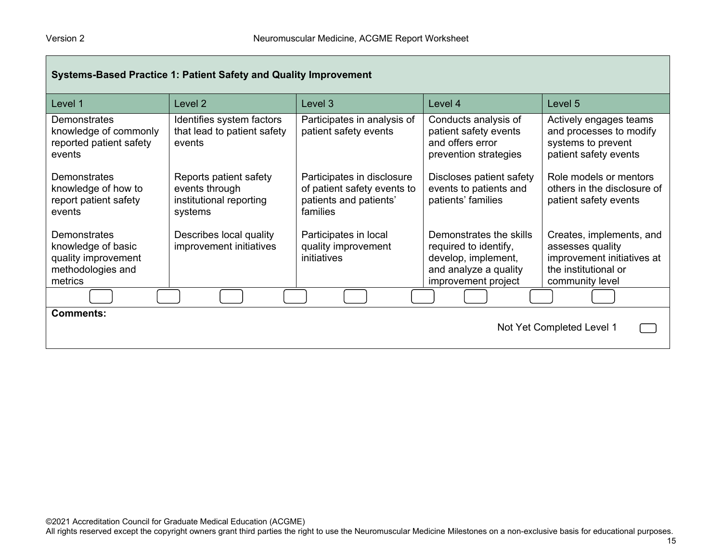| Systems-Based Practice 1: Patient Safety and Quality Improvement                                 |                                                                                |                                                                                                 |                                                                                                                         |                                                                                                                       |
|--------------------------------------------------------------------------------------------------|--------------------------------------------------------------------------------|-------------------------------------------------------------------------------------------------|-------------------------------------------------------------------------------------------------------------------------|-----------------------------------------------------------------------------------------------------------------------|
| Level 1                                                                                          | Level 2                                                                        | Level 3                                                                                         | Level 4                                                                                                                 | Level 5                                                                                                               |
| Demonstrates<br>knowledge of commonly<br>reported patient safety<br>events                       | Identifies system factors<br>that lead to patient safety<br>events             | Participates in analysis of<br>patient safety events                                            | Conducts analysis of<br>patient safety events<br>and offers error<br>prevention strategies                              | Actively engages teams<br>and processes to modify<br>systems to prevent<br>patient safety events                      |
| <b>Demonstrates</b><br>knowledge of how to<br>report patient safety<br>events                    | Reports patient safety<br>events through<br>institutional reporting<br>systems | Participates in disclosure<br>of patient safety events to<br>patients and patients'<br>families | Discloses patient safety<br>events to patients and<br>patients' families                                                | Role models or mentors<br>others in the disclosure of<br>patient safety events                                        |
| <b>Demonstrates</b><br>knowledge of basic<br>quality improvement<br>methodologies and<br>metrics | Describes local quality<br>improvement initiatives                             | Participates in local<br>quality improvement<br>initiatives                                     | Demonstrates the skills<br>required to identify,<br>develop, implement,<br>and analyze a quality<br>improvement project | Creates, implements, and<br>assesses quality<br>improvement initiatives at<br>the institutional or<br>community level |
|                                                                                                  |                                                                                |                                                                                                 |                                                                                                                         |                                                                                                                       |
| <b>Comments:</b><br>Not Yet Completed Level 1                                                    |                                                                                |                                                                                                 |                                                                                                                         |                                                                                                                       |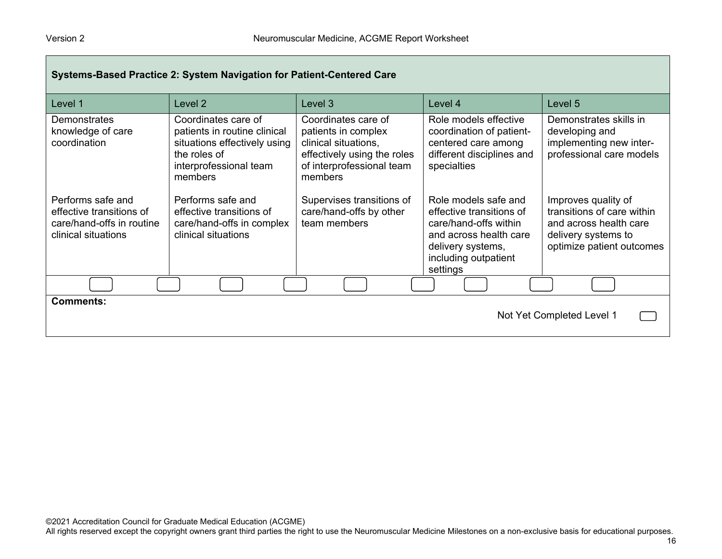| Systems-Based Practice 2: System Navigation for Patient-Centered Care                             |                                                                                                                                          |                                                                                                                                           |                                                                                                                                                              |                                                                                                                                 |
|---------------------------------------------------------------------------------------------------|------------------------------------------------------------------------------------------------------------------------------------------|-------------------------------------------------------------------------------------------------------------------------------------------|--------------------------------------------------------------------------------------------------------------------------------------------------------------|---------------------------------------------------------------------------------------------------------------------------------|
| Level 1                                                                                           | Level 2                                                                                                                                  | Level 3                                                                                                                                   | Level 4                                                                                                                                                      | Level 5                                                                                                                         |
| <b>Demonstrates</b><br>knowledge of care<br>coordination                                          | Coordinates care of<br>patients in routine clinical<br>situations effectively using<br>the roles of<br>interprofessional team<br>members | Coordinates care of<br>patients in complex<br>clinical situations,<br>effectively using the roles<br>of interprofessional team<br>members | Role models effective<br>coordination of patient-<br>centered care among<br>different disciplines and<br>specialties                                         | Demonstrates skills in<br>developing and<br>implementing new inter-<br>professional care models                                 |
| Performs safe and<br>effective transitions of<br>care/hand-offs in routine<br>clinical situations | Performs safe and<br>effective transitions of<br>care/hand-offs in complex<br>clinical situations                                        | Supervises transitions of<br>care/hand-offs by other<br>team members                                                                      | Role models safe and<br>effective transitions of<br>care/hand-offs within<br>and across health care<br>delivery systems,<br>including outpatient<br>settings | Improves quality of<br>transitions of care within<br>and across health care<br>delivery systems to<br>optimize patient outcomes |
|                                                                                                   |                                                                                                                                          |                                                                                                                                           |                                                                                                                                                              |                                                                                                                                 |
| <b>Comments:</b><br>Not Yet Completed Level 1                                                     |                                                                                                                                          |                                                                                                                                           |                                                                                                                                                              |                                                                                                                                 |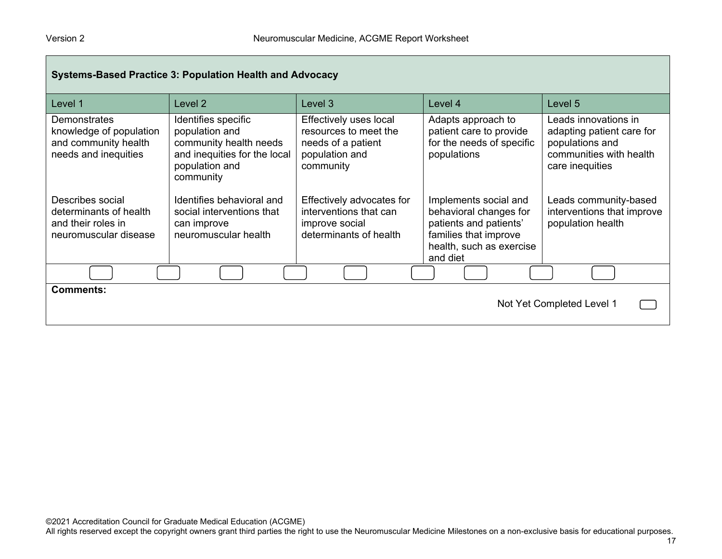| <b>Systems-Based Practice 3: Population Health and Advocacy</b>                                |                                                                                                                                |                                                                                                      |                                                                                                                                            |                                                                                                                    |
|------------------------------------------------------------------------------------------------|--------------------------------------------------------------------------------------------------------------------------------|------------------------------------------------------------------------------------------------------|--------------------------------------------------------------------------------------------------------------------------------------------|--------------------------------------------------------------------------------------------------------------------|
| Level 1                                                                                        | Level 2                                                                                                                        | Level <sub>3</sub>                                                                                   | Level 4                                                                                                                                    | Level 5                                                                                                            |
| <b>Demonstrates</b><br>knowledge of population<br>and community health<br>needs and inequities | Identifies specific<br>population and<br>community health needs<br>and inequities for the local<br>population and<br>community | Effectively uses local<br>resources to meet the<br>needs of a patient<br>population and<br>community | Adapts approach to<br>patient care to provide<br>for the needs of specific<br>populations                                                  | Leads innovations in<br>adapting patient care for<br>populations and<br>communities with health<br>care inequities |
| Describes social<br>determinants of health<br>and their roles in<br>neuromuscular disease      | Identifies behavioral and<br>social interventions that<br>can improve<br>neuromuscular health                                  | Effectively advocates for<br>interventions that can<br>improve social<br>determinants of health      | Implements social and<br>behavioral changes for<br>patients and patients'<br>families that improve<br>health, such as exercise<br>and diet | Leads community-based<br>interventions that improve<br>population health                                           |
|                                                                                                |                                                                                                                                |                                                                                                      |                                                                                                                                            |                                                                                                                    |
| <b>Comments:</b><br>Not Yet Completed Level 1                                                  |                                                                                                                                |                                                                                                      |                                                                                                                                            |                                                                                                                    |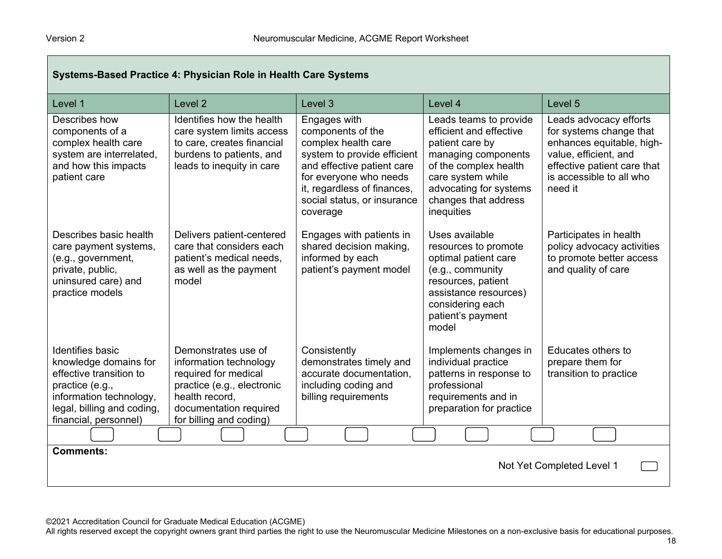| Systems-Based Practice 4: Physician Role in Health Care Systems                                                                                                                  |                                                                                                                                                                            |                                                                                                                                                                                                                           |                                                                                                                                                                                                           |                                                                                                                                                                               |
|----------------------------------------------------------------------------------------------------------------------------------------------------------------------------------|----------------------------------------------------------------------------------------------------------------------------------------------------------------------------|---------------------------------------------------------------------------------------------------------------------------------------------------------------------------------------------------------------------------|-----------------------------------------------------------------------------------------------------------------------------------------------------------------------------------------------------------|-------------------------------------------------------------------------------------------------------------------------------------------------------------------------------|
| Level 1                                                                                                                                                                          | Level <sub>2</sub>                                                                                                                                                         | Level 3                                                                                                                                                                                                                   | Level 4                                                                                                                                                                                                   | Level 5                                                                                                                                                                       |
| Describes how<br>components of a<br>complex health care<br>system are interrelated,<br>and how this impacts<br>patient care                                                      | Identifies how the health<br>care system limits access<br>to care, creates financial<br>burdens to patients, and<br>leads to inequity in care                              | Engages with<br>components of the<br>complex health care<br>system to provide efficient<br>and effective patient care<br>for everyone who needs<br>it, regardless of finances,<br>social status, or insurance<br>coverage | Leads teams to provide<br>efficient and effective<br>patient care by<br>managing components<br>of the complex health<br>care system while<br>advocating for systems<br>changes that address<br>inequities | Leads advocacy efforts<br>for systems change that<br>enhances equitable, high-<br>value, efficient, and<br>effective patient care that<br>is accessible to all who<br>need it |
| Describes basic health<br>care payment systems,<br>(e.g., government,<br>private, public,<br>uninsured care) and<br>practice models                                              | Delivers patient-centered<br>care that considers each<br>patient's medical needs,<br>as well as the payment<br>model                                                       | Engages with patients in<br>shared decision making,<br>informed by each<br>patient's payment model                                                                                                                        | Uses available<br>resources to promote<br>optimal patient care<br>(e.g., community<br>resources, patient<br>assistance resources)<br>considering each<br>patient's payment<br>model                       | Participates in health<br>policy advocacy activities<br>to promote better access<br>and quality of care                                                                       |
| <b>Identifies basic</b><br>knowledge domains for<br>effective transition to<br>practice (e.g.,<br>information technology,<br>legal, billing and coding,<br>financial, personnel) | Demonstrates use of<br>information technology<br>required for medical<br>practice (e.g., electronic<br>health record.<br>documentation required<br>for billing and coding) | Consistently<br>demonstrates timely and<br>accurate documentation,<br>including coding and<br>billing requirements                                                                                                        | Implements changes in<br>individual practice<br>patterns in response to<br>professional<br>requirements and in<br>preparation for practice                                                                | Educates others to<br>prepare them for<br>transition to practice                                                                                                              |
|                                                                                                                                                                                  |                                                                                                                                                                            |                                                                                                                                                                                                                           |                                                                                                                                                                                                           |                                                                                                                                                                               |
| <b>Comments:</b><br>Not Yet Completed Level 1                                                                                                                                    |                                                                                                                                                                            |                                                                                                                                                                                                                           |                                                                                                                                                                                                           |                                                                                                                                                                               |

©2021 Accreditation Council for Graduate Medical Education (ACGME)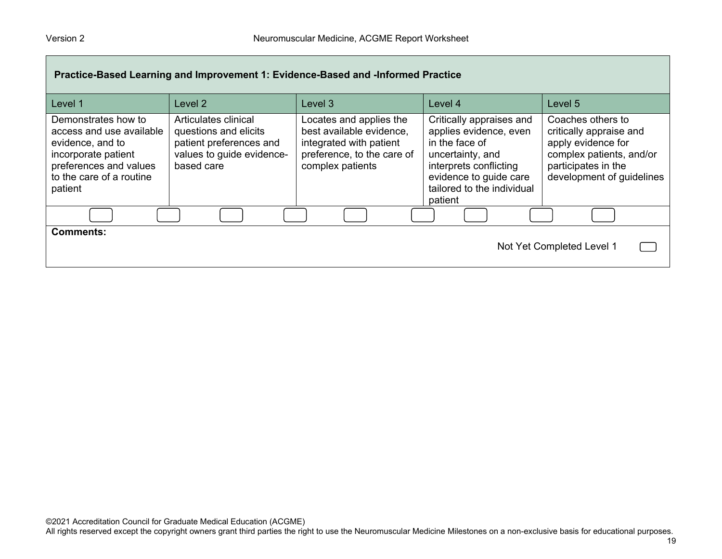| Practice-Based Learning and Improvement 1: Evidence-Based and -Informed Practice                                                                            |                                                                                                                     |                                                                                                                                  |                                                                                                                                                                                       |                                                                                                                                                    |
|-------------------------------------------------------------------------------------------------------------------------------------------------------------|---------------------------------------------------------------------------------------------------------------------|----------------------------------------------------------------------------------------------------------------------------------|---------------------------------------------------------------------------------------------------------------------------------------------------------------------------------------|----------------------------------------------------------------------------------------------------------------------------------------------------|
| Level 1                                                                                                                                                     | Level 2                                                                                                             | Level 3                                                                                                                          | Level 4                                                                                                                                                                               | Level 5                                                                                                                                            |
| Demonstrates how to<br>access and use available<br>evidence, and to<br>incorporate patient<br>preferences and values<br>to the care of a routine<br>patient | Articulates clinical<br>questions and elicits<br>patient preferences and<br>values to guide evidence-<br>based care | Locates and applies the<br>best available evidence,<br>integrated with patient<br>preference, to the care of<br>complex patients | Critically appraises and<br>applies evidence, even<br>in the face of<br>uncertainty, and<br>interprets conflicting<br>evidence to guide care<br>tailored to the individual<br>patient | Coaches others to<br>critically appraise and<br>apply evidence for<br>complex patients, and/or<br>participates in the<br>development of guidelines |
|                                                                                                                                                             |                                                                                                                     |                                                                                                                                  |                                                                                                                                                                                       |                                                                                                                                                    |
| <b>Comments:</b><br>Not Yet Completed Level 1                                                                                                               |                                                                                                                     |                                                                                                                                  |                                                                                                                                                                                       |                                                                                                                                                    |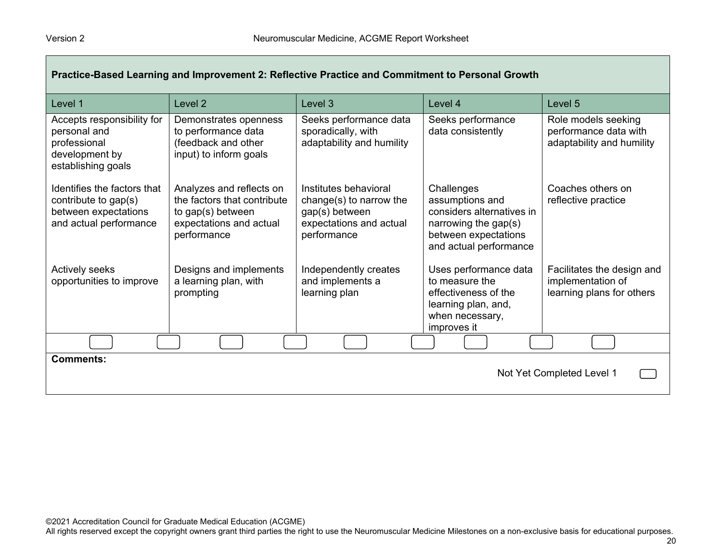| Practice-Based Learning and Improvement 2: Reflective Practice and Commitment to Personal Growth      |                                                                                                                        |                                                                                                              |                                                                                                                                      |                                                                              |
|-------------------------------------------------------------------------------------------------------|------------------------------------------------------------------------------------------------------------------------|--------------------------------------------------------------------------------------------------------------|--------------------------------------------------------------------------------------------------------------------------------------|------------------------------------------------------------------------------|
| Level 1                                                                                               | Level <sub>2</sub>                                                                                                     | Level 3                                                                                                      | Level 4                                                                                                                              | Level 5                                                                      |
| Accepts responsibility for<br>personal and<br>professional<br>development by<br>establishing goals    | Demonstrates openness<br>to performance data<br>(feedback and other<br>input) to inform goals                          | Seeks performance data<br>sporadically, with<br>adaptability and humility                                    | Seeks performance<br>data consistently                                                                                               | Role models seeking<br>performance data with<br>adaptability and humility    |
| Identifies the factors that<br>contribute to gap(s)<br>between expectations<br>and actual performance | Analyzes and reflects on<br>the factors that contribute<br>to gap(s) between<br>expectations and actual<br>performance | Institutes behavioral<br>change(s) to narrow the<br>gap(s) between<br>expectations and actual<br>performance | Challenges<br>assumptions and<br>considers alternatives in<br>narrowing the gap(s)<br>between expectations<br>and actual performance | Coaches others on<br>reflective practice                                     |
| Actively seeks<br>opportunities to improve                                                            | Designs and implements<br>a learning plan, with<br>prompting                                                           | Independently creates<br>and implements a<br>learning plan                                                   | Uses performance data<br>to measure the<br>effectiveness of the<br>learning plan, and,<br>when necessary,<br>improves it             | Facilitates the design and<br>implementation of<br>learning plans for others |
|                                                                                                       |                                                                                                                        |                                                                                                              |                                                                                                                                      |                                                                              |
| <b>Comments:</b><br>Not Yet Completed Level 1                                                         |                                                                                                                        |                                                                                                              |                                                                                                                                      |                                                                              |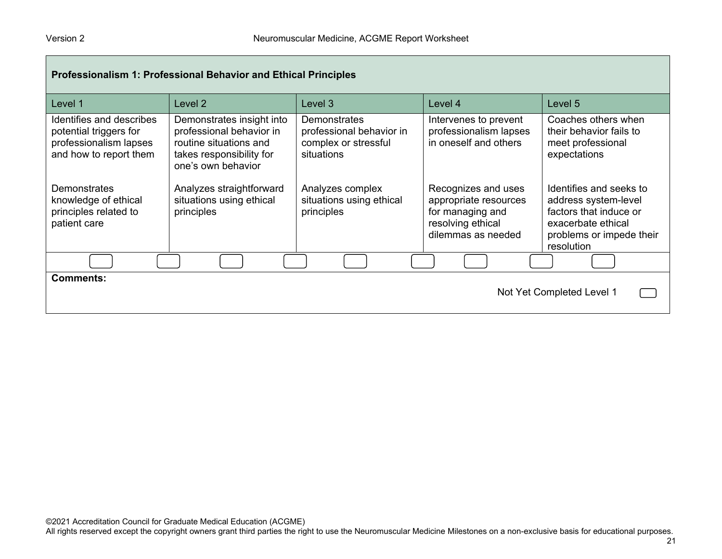| <b>Professionalism 1: Professional Behavior and Ethical Principles</b>                                 |                                                                                                                                   |                                                                                       |                                                                                                             |                                                                                                                                           |
|--------------------------------------------------------------------------------------------------------|-----------------------------------------------------------------------------------------------------------------------------------|---------------------------------------------------------------------------------------|-------------------------------------------------------------------------------------------------------------|-------------------------------------------------------------------------------------------------------------------------------------------|
| Level 1                                                                                                | Level 2                                                                                                                           | Level 3                                                                               | Level 4                                                                                                     | Level 5                                                                                                                                   |
| Identifies and describes<br>potential triggers for<br>professionalism lapses<br>and how to report them | Demonstrates insight into<br>professional behavior in<br>routine situations and<br>takes responsibility for<br>one's own behavior | <b>Demonstrates</b><br>professional behavior in<br>complex or stressful<br>situations | Intervenes to prevent<br>professionalism lapses<br>in oneself and others                                    | Coaches others when<br>their behavior fails to<br>meet professional<br>expectations                                                       |
| Demonstrates<br>knowledge of ethical<br>principles related to<br>patient care                          | Analyzes straightforward<br>situations using ethical<br>principles                                                                | Analyzes complex<br>situations using ethical<br>principles                            | Recognizes and uses<br>appropriate resources<br>for managing and<br>resolving ethical<br>dilemmas as needed | Identifies and seeks to<br>address system-level<br>factors that induce or<br>exacerbate ethical<br>problems or impede their<br>resolution |
|                                                                                                        |                                                                                                                                   |                                                                                       |                                                                                                             |                                                                                                                                           |
| <b>Comments:</b><br>Not Yet Completed Level 1                                                          |                                                                                                                                   |                                                                                       |                                                                                                             |                                                                                                                                           |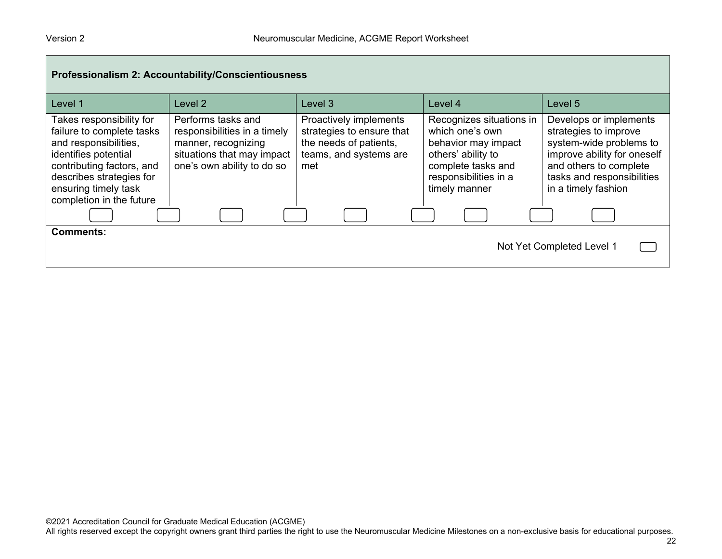| Professionalism 2: Accountability/Conscientiousness                                                                                                                                                                 |                                                                                                                                       |                                                                                                                |                                                                                                                                                          |                                                                                                                                                                                          |
|---------------------------------------------------------------------------------------------------------------------------------------------------------------------------------------------------------------------|---------------------------------------------------------------------------------------------------------------------------------------|----------------------------------------------------------------------------------------------------------------|----------------------------------------------------------------------------------------------------------------------------------------------------------|------------------------------------------------------------------------------------------------------------------------------------------------------------------------------------------|
| Level 1                                                                                                                                                                                                             | Level 2                                                                                                                               | Level 3                                                                                                        | Level 4                                                                                                                                                  | Level 5                                                                                                                                                                                  |
| Takes responsibility for<br>failure to complete tasks<br>and responsibilities,<br>identifies potential<br>contributing factors, and<br>describes strategies for<br>ensuring timely task<br>completion in the future | Performs tasks and<br>responsibilities in a timely<br>manner, recognizing<br>situations that may impact<br>one's own ability to do so | Proactively implements<br>strategies to ensure that<br>the needs of patients,<br>teams, and systems are<br>met | Recognizes situations in<br>which one's own<br>behavior may impact<br>others' ability to<br>complete tasks and<br>responsibilities in a<br>timely manner | Develops or implements<br>strategies to improve<br>system-wide problems to<br>improve ability for oneself<br>and others to complete<br>tasks and responsibilities<br>in a timely fashion |
|                                                                                                                                                                                                                     |                                                                                                                                       |                                                                                                                |                                                                                                                                                          |                                                                                                                                                                                          |
| <b>Comments:</b><br>Not Yet Completed Level 1                                                                                                                                                                       |                                                                                                                                       |                                                                                                                |                                                                                                                                                          |                                                                                                                                                                                          |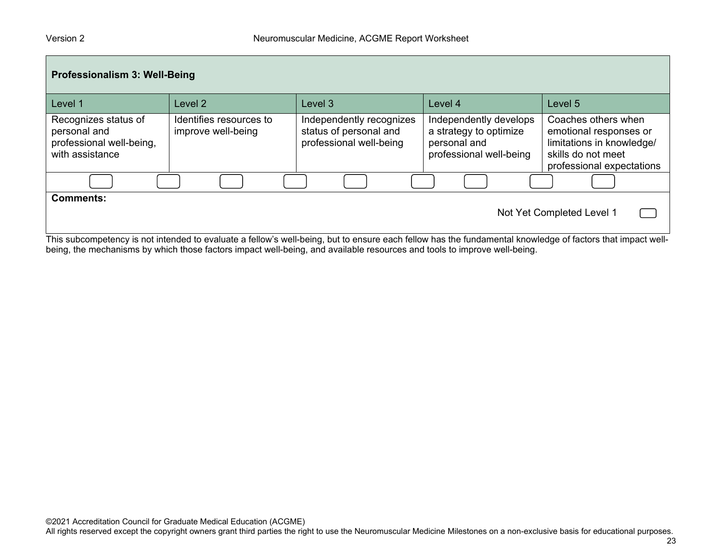| Professionalism 3: Well-Being                                                       |                                               |                                                                               |                                                                                             |                                                                                                                               |
|-------------------------------------------------------------------------------------|-----------------------------------------------|-------------------------------------------------------------------------------|---------------------------------------------------------------------------------------------|-------------------------------------------------------------------------------------------------------------------------------|
| Level 1                                                                             | Level 2                                       | Level 3                                                                       | Level 4                                                                                     | Level 5                                                                                                                       |
| Recognizes status of<br>personal and<br>professional well-being,<br>with assistance | Identifies resources to<br>improve well-being | Independently recognizes<br>status of personal and<br>professional well-being | Independently develops<br>a strategy to optimize<br>personal and<br>professional well-being | Coaches others when<br>emotional responses or<br>limitations in knowledge/<br>skills do not meet<br>professional expectations |
|                                                                                     |                                               |                                                                               |                                                                                             |                                                                                                                               |
| <b>Comments:</b>                                                                    |                                               |                                                                               |                                                                                             | Not Yet Completed Level 1                                                                                                     |

This subcompetency is not intended to evaluate a fellow's well-being, but to ensure each fellow has the fundamental knowledge of factors that impact wellbeing, the mechanisms by which those factors impact well-being, and available resources and tools to improve well-being.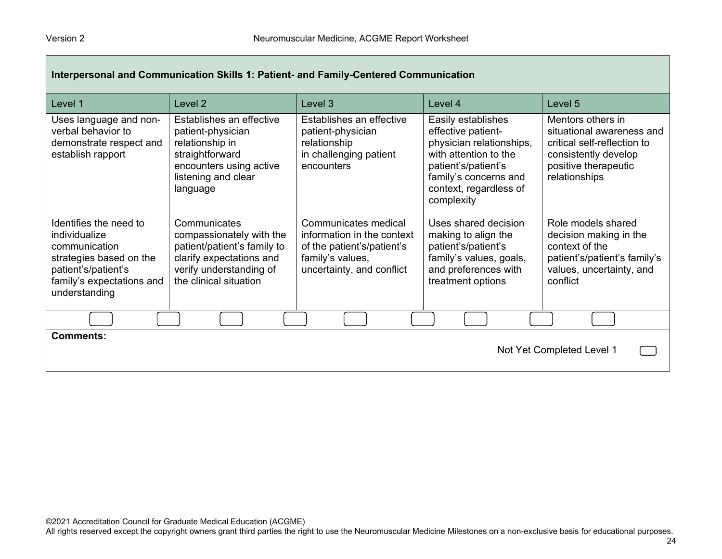| Interpersonal and Communication Skills 1: Patient- and Family-Centered Communication                                                                     |                                                                                                                                                          |                                                                                                                                   |                                                                                                                                                                                       |                                                                                                                                                |
|----------------------------------------------------------------------------------------------------------------------------------------------------------|----------------------------------------------------------------------------------------------------------------------------------------------------------|-----------------------------------------------------------------------------------------------------------------------------------|---------------------------------------------------------------------------------------------------------------------------------------------------------------------------------------|------------------------------------------------------------------------------------------------------------------------------------------------|
| Level 1                                                                                                                                                  | Level <sub>2</sub>                                                                                                                                       | Level 3                                                                                                                           | Level 4                                                                                                                                                                               | Level 5                                                                                                                                        |
| Uses language and non-<br>verbal behavior to<br>demonstrate respect and<br>establish rapport                                                             | Establishes an effective<br>patient-physician<br>relationship in<br>straightforward<br>encounters using active<br>listening and clear<br>language        | Establishes an effective<br>patient-physician<br>relationship<br>in challenging patient<br>encounters                             | Easily establishes<br>effective patient-<br>physician relationships,<br>with attention to the<br>patient's/patient's<br>family's concerns and<br>context, regardless of<br>complexity | Mentors others in<br>situational awareness and<br>critical self-reflection to<br>consistently develop<br>positive therapeutic<br>relationships |
| Identifies the need to<br>individualize<br>communication<br>strategies based on the<br>patient's/patient's<br>family's expectations and<br>understanding | Communicates<br>compassionately with the<br>patient/patient's family to<br>clarify expectations and<br>verify understanding of<br>the clinical situation | Communicates medical<br>information in the context<br>of the patient's/patient's<br>family's values,<br>uncertainty, and conflict | Uses shared decision<br>making to align the<br>patient's/patient's<br>family's values, goals,<br>and preferences with<br>treatment options                                            | Role models shared<br>decision making in the<br>context of the<br>patient's/patient's family's<br>values, uncertainty, and<br>conflict         |
|                                                                                                                                                          |                                                                                                                                                          |                                                                                                                                   |                                                                                                                                                                                       |                                                                                                                                                |
| <b>Comments:</b><br>Not Yet Completed Level 1                                                                                                            |                                                                                                                                                          |                                                                                                                                   |                                                                                                                                                                                       |                                                                                                                                                |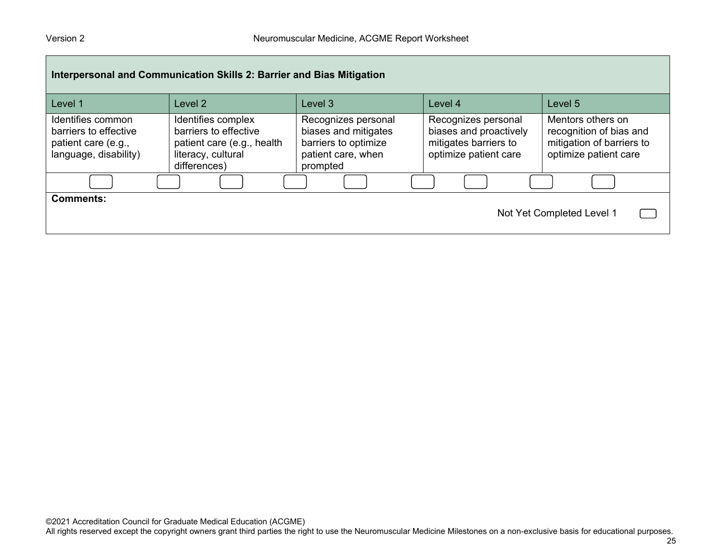| Interpersonal and Communication Skills 2: Barrier and Bias Mitigation                      |                                                                                                                 |                                                                                                       |                                                                                                 |                                                                                                    |  |
|--------------------------------------------------------------------------------------------|-----------------------------------------------------------------------------------------------------------------|-------------------------------------------------------------------------------------------------------|-------------------------------------------------------------------------------------------------|----------------------------------------------------------------------------------------------------|--|
| Level 1                                                                                    | Level 2                                                                                                         | Level 3                                                                                               | Level 4                                                                                         | Level 5                                                                                            |  |
| Identifies common<br>barriers to effective<br>patient care (e.g.,<br>language, disability) | Identifies complex<br>barriers to effective<br>patient care (e.g., health<br>literacy, cultural<br>differences) | Recognizes personal<br>biases and mitigates<br>barriers to optimize<br>patient care, when<br>prompted | Recognizes personal<br>biases and proactively<br>mitigates barriers to<br>optimize patient care | Mentors others on<br>recognition of bias and<br>mitigation of barriers to<br>optimize patient care |  |
|                                                                                            |                                                                                                                 |                                                                                                       |                                                                                                 |                                                                                                    |  |
| <b>Comments:</b><br>Not Yet Completed Level 1                                              |                                                                                                                 |                                                                                                       |                                                                                                 |                                                                                                    |  |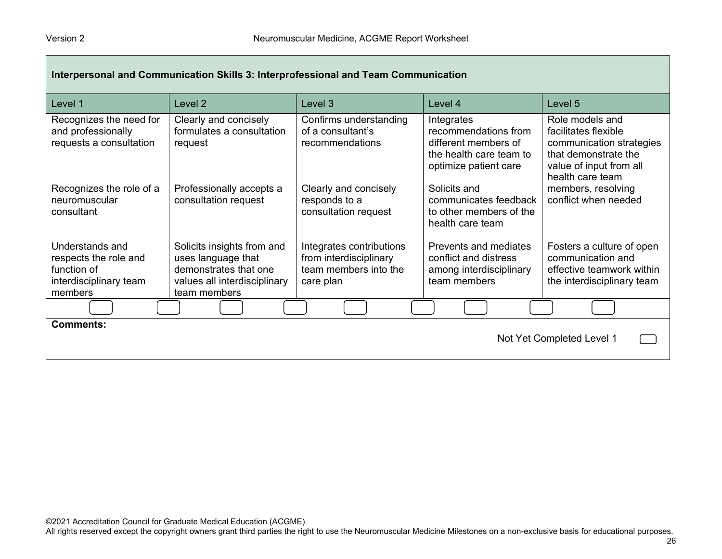| Interpersonal and Communication Skills 3: Interprofessional and Team Communication           |                                                                                                                           |                                                                                          |                                                                                                                |                                                                                                                                            |
|----------------------------------------------------------------------------------------------|---------------------------------------------------------------------------------------------------------------------------|------------------------------------------------------------------------------------------|----------------------------------------------------------------------------------------------------------------|--------------------------------------------------------------------------------------------------------------------------------------------|
| Level 1                                                                                      | Level 2                                                                                                                   | Level 3                                                                                  | Level 4                                                                                                        | Level 5                                                                                                                                    |
| Recognizes the need for<br>and professionally<br>requests a consultation                     | Clearly and concisely<br>formulates a consultation<br>request                                                             | Confirms understanding<br>of a consultant's<br>recommendations                           | Integrates<br>recommendations from<br>different members of<br>the health care team to<br>optimize patient care | Role models and<br>facilitates flexible<br>communication strategies<br>that demonstrate the<br>value of input from all<br>health care team |
| Recognizes the role of a<br>neuromuscular<br>consultant                                      | Professionally accepts a<br>consultation request                                                                          | Clearly and concisely<br>responds to a<br>consultation request                           | Solicits and<br>communicates feedback<br>to other members of the<br>health care team                           | members, resolving<br>conflict when needed                                                                                                 |
| Understands and<br>respects the role and<br>function of<br>interdisciplinary team<br>members | Solicits insights from and<br>uses language that<br>demonstrates that one<br>values all interdisciplinary<br>team members | Integrates contributions<br>from interdisciplinary<br>team members into the<br>care plan | Prevents and mediates<br>conflict and distress<br>among interdisciplinary<br>team members                      | Fosters a culture of open<br>communication and<br>effective teamwork within<br>the interdisciplinary team                                  |
|                                                                                              |                                                                                                                           |                                                                                          |                                                                                                                |                                                                                                                                            |
| <b>Comments:</b><br>Not Yet Completed Level 1                                                |                                                                                                                           |                                                                                          |                                                                                                                |                                                                                                                                            |